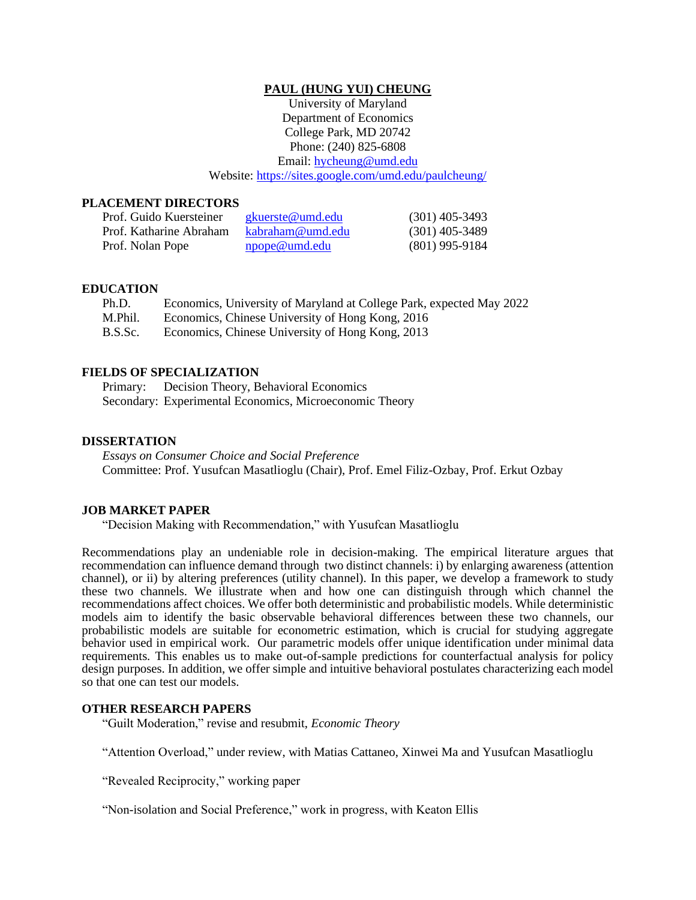### **PAUL (HUNG YUI) CHEUNG**

University of Maryland Department of Economics College Park, MD 20742 Phone: (240) 825-6808 Email: [hycheung@umd.edu](mailto:hycheung@umd.edu) Website[: https://sites.google.com/umd.edu/paulcheung/](https://sites.google.com/umd.edu/paulcheung/)

### **PLACEMENT DIRECTORS**

| Prof. Guido Kuersteiner | gkuerste@umd.edu | $(301)$ 405-3493 |
|-------------------------|------------------|------------------|
| Prof. Katharine Abraham | kabraham@umd.edu | $(301)$ 405-3489 |
| Prof. Nolan Pope        | npope@umd.edu    | $(801)$ 995-9184 |

### **EDUCATION**

| Ph.D.   | Economics, University of Maryland at College Park, expected May 2022 |
|---------|----------------------------------------------------------------------|
| M.Phil. | Economics, Chinese University of Hong Kong, 2016                     |
| B.S.Sc. | Economics, Chinese University of Hong Kong, 2013                     |

#### **FIELDS OF SPECIALIZATION**

Primary: Decision Theory, Behavioral Economics Secondary: Experimental Economics, Microeconomic Theory

#### **DISSERTATION**

*Essays on Consumer Choice and Social Preference* Committee: Prof. Yusufcan Masatlioglu (Chair), Prof. Emel Filiz-Ozbay, Prof. Erkut Ozbay

#### **JOB MARKET PAPER**

"Decision Making with Recommendation," with Yusufcan Masatlioglu

Recommendations play an undeniable role in decision-making. The empirical literature argues that recommendation can influence demand through two distinct channels: i) by enlarging awareness (attention channel), or ii) by altering preferences (utility channel). In this paper, we develop a framework to study these two channels. We illustrate when and how one can distinguish through which channel the recommendations affect choices. We offer both deterministic and probabilistic models. While deterministic models aim to identify the basic observable behavioral differences between these two channels, our probabilistic models are suitable for econometric estimation, which is crucial for studying aggregate behavior used in empirical work. Our parametric models offer unique identification under minimal data requirements. This enables us to make out-of-sample predictions for counterfactual analysis for policy design purposes. In addition, we offer simple and intuitive behavioral postulates characterizing each model so that one can test our models.

#### **OTHER RESEARCH PAPERS**

"Guilt Moderation," revise and resubmit, *Economic Theory*

"Attention Overload," under review, with Matias Cattaneo, Xinwei Ma and Yusufcan Masatlioglu

"Revealed Reciprocity," working paper

"Non-isolation and Social Preference," work in progress, with Keaton Ellis